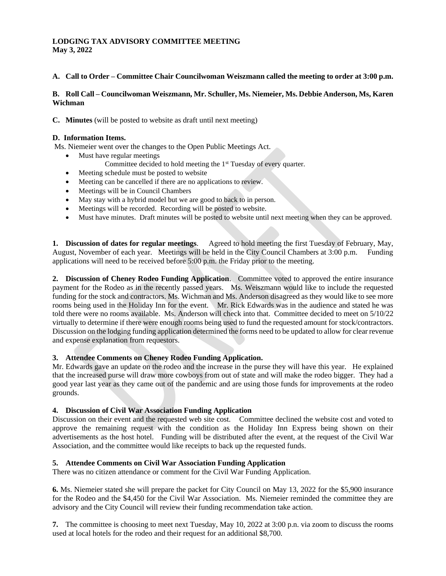## **LODGING TAX ADVISORY COMMITTEE MEETING May 3, 2022**

#### **A. Call to Order – Committee Chair Councilwoman Weiszmann called the meeting to order at 3:00 p.m.**

### **B. Roll Call – Councilwoman Weiszmann, Mr. Schuller, Ms. Niemeier, Ms. Debbie Anderson, Ms, Karen Wichman**

**C. Minutes** (will be posted to website as draft until next meeting)

#### **D. Information Items.**

Ms. Niemeier went over the changes to the Open Public Meetings Act.

- Must have regular meetings
	- Committee decided to hold meeting the 1<sup>st</sup> Tuesday of every quarter.
- Meeting schedule must be posted to website
- Meeting can be cancelled if there are no applications to review.
- Meetings will be in Council Chambers
- May stay with a hybrid model but we are good to back to in person.
- Meetings will be recorded. Recording will be posted to website.
- Must have minutes. Draft minutes will be posted to website until next meeting when they can be approved.

**1. Discussion of dates for regular meetings**. Agreed to hold meeting the first Tuesday of February, May, August, November of each year. Meetings will be held in the City Council Chambers at 3:00 p.m. Funding applications will need to be received before 5:00 p.m. the Friday prior to the meeting.

**2. Discussion of Cheney Rodeo Funding Application**. Committee voted to approved the entire insurance payment for the Rodeo as in the recently passed years. Ms. Weiszmann would like to include the requested funding for the stock and contractors. Ms. Wichman and Ms. Anderson disagreed as they would like to see more rooms being used in the Holiday Inn for the event. Mr. Rick Edwards was in the audience and stated he was told there were no rooms available. Ms. Anderson will check into that. Committee decided to meet on 5/10/22 virtually to determine if there were enough rooms being used to fund the requested amount for stock/contractors. Discussion on the lodging funding application determined the forms need to be updated to allow for clear revenue and expense explanation from requestors.

#### **3. Attendee Comments on Cheney Rodeo Funding Application.**

Mr. Edwards gave an update on the rodeo and the increase in the purse they will have this year. He explained that the increased purse will draw more cowboys from out of state and will make the rodeo bigger. They had a good year last year as they came out of the pandemic and are using those funds for improvements at the rodeo grounds.

#### **4. Discussion of Civil War Association Funding Application**

Discussion on their event and the requested web site cost. Committee declined the website cost and voted to approve the remaining request with the condition as the Holiday Inn Express being shown on their advertisements as the host hotel. Funding will be distributed after the event, at the request of the Civil War Association, and the committee would like receipts to back up the requested funds.

#### **5. Attendee Comments on Civil War Association Funding Application**

There was no citizen attendance or comment for the Civil War Funding Application.

**6.** Ms. Niemeier stated she will prepare the packet for City Council on May 13, 2022 for the \$5,900 insurance for the Rodeo and the \$4,450 for the Civil War Association. Ms. Niemeier reminded the committee they are advisory and the City Council will review their funding recommendation take action.

**7.** The committee is choosing to meet next Tuesday, May 10, 2022 at 3:00 p.n. via zoom to discuss the rooms used at local hotels for the rodeo and their request for an additional \$8,700.